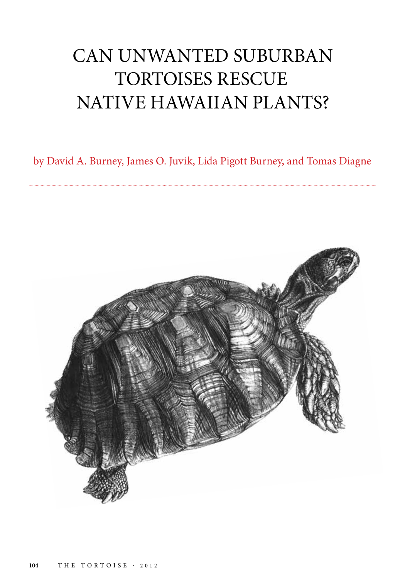# CAN UNWANTED SUBURBAN TORTOISES RESCUE NATIVE HAWAIIAN PLANTS?

by David A. Burney, James O. Juvik, Lida Pigott Burney, and Tomas Diagne

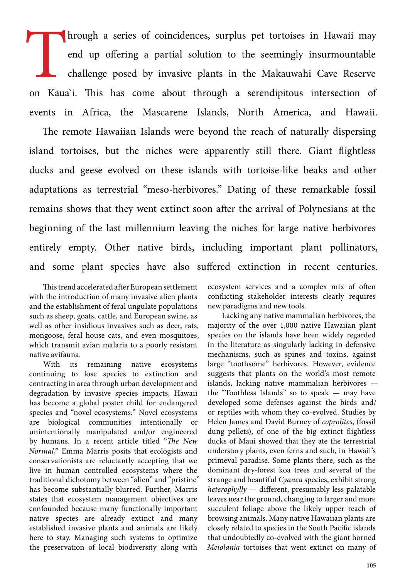Inrough a series of coincidences, surplus pet tortoises in Hawaii may end up offering a partial solution to the seemingly insurmountable challenge posed by invasive plants in the Makauwahi Cave Reserve on Kaua`i. This has come about through a serendipitous intersection of events in Africa, the Mascarene Islands, North America, and Hawaii.

The remote Hawaiian Islands were beyond the reach of naturally dispersing island tortoises, but the niches were apparently still there. Giant flightless ducks and geese evolved on these islands with tortoise-like beaks and other adaptations as terrestrial "meso-herbivores." Dating of these remarkable fossil remains shows that they went extinct soon after the arrival of Polynesians at the beginning of the last millennium leaving the niches for large native herbivores entirely empty. Other native birds, including important plant pollinators, and some plant species have also suffered extinction in recent centuries.

This trend accelerated after European settlement with the introduction of many invasive alien plants and the establishment of feral ungulate populations such as sheep, goats, cattle, and European swine, as well as other insidious invasives such as deer, rats, mongoose, feral house cats, and even mosquitoes, which transmit avian malaria to a poorly resistant native avifauna.

With its remaining native ecosystems continuing to lose species to extinction and contracting in area through urban development and degradation by invasive species impacts, Hawaii has become a global poster child for endangered species and "novel ecosystems." Novel ecosystems are biological communities intentionally or unintentionally manipulated and/or engineered by humans. In a recent article titled "*The New Normal*," Emma Marris posits that ecologists and conservationists are reluctantly accepting that we live in human controlled ecosystems where the traditional dichotomy between "alien" and "pristine" has become substantially blurred. Further, Marris states that ecosystem management objectives are confounded because many functionally important native species are already extinct and many established invasive plants and animals are likely here to stay. Managing such systems to optimize the preservation of local biodiversity along with

ecosystem services and a complex mix of often conflicting stakeholder interests clearly requires new paradigms and new tools.

Lacking any native mammalian herbivores, the majority of the over 1,000 native Hawaiian plant species on the islands have been widely regarded in the literature as singularly lacking in defensive mechanisms, such as spines and toxins, against large "toothsome" herbivores. However, evidence suggests that plants on the world's most remote islands, lacking native mammalian herbivores the "Toothless Islands" so to speak — may have developed some defenses against the birds and/ or reptiles with whom they co-evolved. Studies by Helen James and David Burney of *coprolites*, (fossil dung pellets), of one of the big extinct flightless ducks of Maui showed that they ate the terrestrial understory plants, even ferns and such, in Hawaii's primeval paradise. Some plants there, such as the dominant dry-forest koa trees and several of the strange and beautiful *Cyanea* species, exhibit strong *heterophylly* — different, presumably less palatable leaves near the ground, changing to larger and more succulent foliage above the likely upper reach of browsing animals. Many native Hawaiian plants are closely related to species in the South Pacific islands that undoubtedly co-evolved with the giant horned *Meiolania* tortoises that went extinct on many of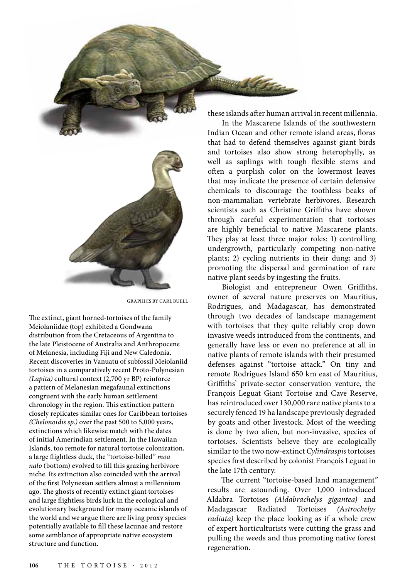

GRAPHICS BY CARL BUELL

The extinct, giant horned-tortoises of the family Meiolaniidae (top) exhibited a Gondwana distribution from the Cretaceous of Argentina to the late Pleistocene of Australia and Anthropocene of Melanesia, including Fiji and New Caledonia. Recent discoveries in Vanuatu of subfossil Meiolaniid tortoises in a comparatively recent Proto-Polynesian *(Lapita)* cultural context (2,700 yr BP) reinforce a pattern of Melanesian megafaunal extinctions congruent with the early human settlement chronology in the region. This extinction pattern closely replicates similar ones for Caribbean tortoises *(Chelonoidis sp.)* over the past 500 to 5,000 years, extinctions which likewise match with the dates of initial Amerindian settlement. In the Hawaiian Islands, too remote for natural tortoise colonization, a large flightless duck, the "tortoise-billed" *moa nalo* (bottom) evolved to fill this grazing herbivore niche. Its extinction also coincided with the arrival of the first Polynesian settlers almost a millennium ago. The ghosts of recently extinct giant tortoises and large flightless birds lurk in the ecological and evolutionary background for many oceanic islands of the world and we argue there are living proxy species potentially available to fill these lacunae and restore some semblance of appropriate native ecosystem structure and function.

these islands after human arrival in recent millennia.

S. Staten

In the Mascarene Islands of the southwestern Indian Ocean and other remote island areas, floras that had to defend themselves against giant birds and tortoises also show strong heterophylly, as well as saplings with tough flexible stems and often a purplish color on the lowermost leaves that may indicate the presence of certain defensive chemicals to discourage the toothless beaks of non-mammalian vertebrate herbivores. Research scientists such as Christine Griffiths have shown through careful experimentation that tortoises are highly beneficial to native Mascarene plants. They play at least three major roles: 1) controlling undergrowth, particularly competing non-native plants; 2) cycling nutrients in their dung; and 3) promoting the dispersal and germination of rare native plant seeds by ingesting the fruits.

Biologist and entrepreneur Owen Griffiths, owner of several nature preserves on Mauritius, Rodrigues, and Madagascar, has demonstrated through two decades of landscape management with tortoises that they quite reliably crop down invasive weeds introduced from the continents, and generally have less or even no preference at all in native plants of remote islands with their presumed defenses against "tortoise attack." On tiny and remote Rodrigues Island 650 km east of Mauritius, Griffiths' private-sector conservation venture, the François Leguat Giant Tortoise and Cave Reserve, has reintroduced over 130,000 rare native plants to a securely fenced 19 ha landscape previously degraded by goats and other livestock. Most of the weeding is done by two alien, but non-invasive, species of tortoises. Scientists believe they are ecologically similar to the two now-extinct *Cylindraspis* tortoises species first described by colonist François Leguat in the late 17th century.

The current "tortoise-based land management" results are astounding. Over 1,000 introduced Aldabra Tortoises *(Aldabrachelys gigantea)* and Madagascar Radiated Tortoises *(Astrochelys radiata)* keep the place looking as if a whole crew of expert horticulturists were cutting the grass and pulling the weeds and thus promoting native forest regeneration.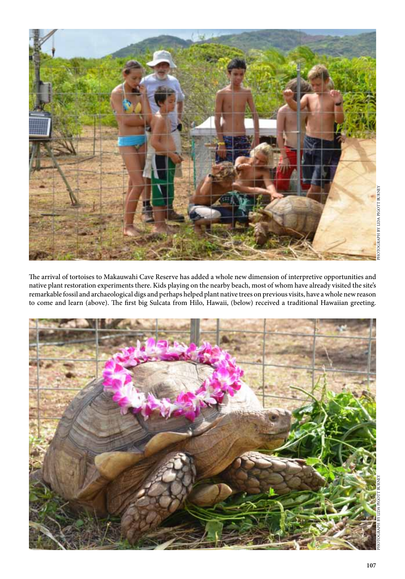

The arrival of tortoises to Makauwahi Cave Reserve has added a whole new dimension of interpretive opportunities and native plant restoration experiments there. Kids playing on the nearby beach, most of whom have already visited the site's remarkable fossil and archaeological digs and perhaps helped plant native trees on previous visits, have a whole new reason to come and learn (above). The first big Sulcata from Hilo, Hawaii, (below) received a traditional Hawaiian greeting.

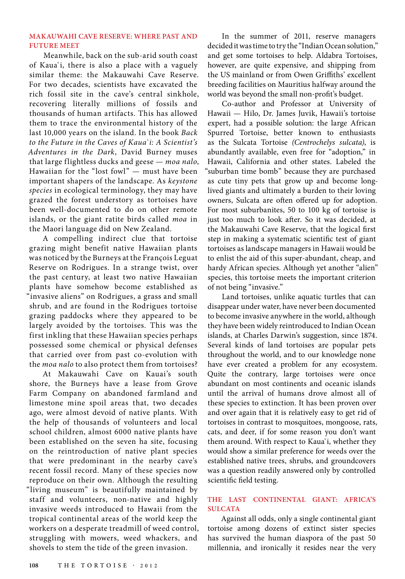### **MAKAUWAHI CAVE RESERVE: WHERE PAST AND FUTURE MEET**

Meanwhile, back on the sub-arid south coast of Kaua`i, there is also a place with a vaguely similar theme: the Makauwahi Cave Reserve. For two decades, scientists have excavated the rich fossil site in the cave's central sinkhole, recovering literally millions of fossils and thousands of human artifacts. This has allowed them to trace the environmental history of the last 10,000 years on the island. In the book *Back to the Future in the Caves of Kaua`i: A Scientist's Adventures in the Dark*, David Burney muses that large flightless ducks and geese — *moa nalo*, Hawaiian for the "lost fowl" — must have been important shapers of the landscape. As *keystone species* in ecological terminology, they may have grazed the forest understory as tortoises have been well-documented to do on other remote islands, or the giant ratite birds called *moa* in the Maori language did on New Zealand.

A compelling indirect clue that tortoise grazing might benefit native Hawaiian plants was noticed by the Burneys at the François Leguat Reserve on Rodrigues. In a strange twist, over the past century, at least two native Hawaiian plants have somehow become established as "invasive aliens" on Rodrigues, a grass and small shrub, and are found in the Rodrigues tortoise grazing paddocks where they appeared to be largely avoided by the tortoises. This was the first inkling that these Hawaiian species perhaps possessed some chemical or physical defenses that carried over from past co-evolution with the *moa nalo* to also protect them from tortoises?

At Makauwahi Cave on Kauai's south shore, the Burneys have a lease from Grove Farm Company on abandoned farmland and limestone mine spoil areas that, two decades ago, were almost devoid of native plants. With the help of thousands of volunteers and local school children, almost 6000 native plants have been established on the seven ha site, focusing on the reintroduction of native plant species that were predominant in the nearby cave's recent fossil record. Many of these species now reproduce on their own. Although the resulting "living museum" is beautifully maintained by staff and volunteers, non-native and highly invasive weeds introduced to Hawaii from the tropical continental areas of the world keep the workers on a desperate treadmill of weed control, struggling with mowers, weed whackers, and shovels to stem the tide of the green invasion.

In the summer of 2011, reserve managers decided it was time to try the "Indian Ocean solution," and get some tortoises to help. Aldabra Tortoises, however, are quite expensive, and shipping from the US mainland or from Owen Griffiths' excellent breeding facilities on Mauritius halfway around the world was beyond the small non-profit's budget.

Co-author and Professor at University of Hawaii — Hilo, Dr. James Juvik, Hawaii's tortoise expert, had a possible solution: the large African Spurred Tortoise, better known to enthusiasts as the Sulcata Tortoise *(Centrochelys sulcata)*, is abundantly available, even free for "adoption," in Hawaii, California and other states. Labeled the "suburban time bomb" because they are purchased as cute tiny pets that grow up and become longlived giants and ultimately a burden to their loving owners, Sulcata are often offered up for adoption. For most suburbanites, 50 to 100 kg of tortoise is just too much to look after. So it was decided, at the Makauwahi Cave Reserve, that the logical first step in making a systematic scientific test of giant tortoises as landscape managers in Hawaii would be to enlist the aid of this super-abundant, cheap, and hardy African species. Although yet another "alien" species, this tortoise meets the important criterion of not being "invasive."

Land tortoises, unlike aquatic turtles that can disappear under water, have never been documented to become invasive anywhere in the world, although they have been widely reintroduced to Indian Ocean islands, at Charles Darwin's suggestion, since 1874. Several kinds of land tortoises are popular pets throughout the world, and to our knowledge none have ever created a problem for any ecosystem. Quite the contrary, large tortoises were once abundant on most continents and oceanic islands until the arrival of humans drove almost all of these species to extinction. It has been proven over and over again that it is relatively easy to get rid of tortoises in contrast to mosquitoes, mongoose, rats, cats, and deer, if for some reason you don't want them around. With respect to Kaua`i, whether they would show a similar preference for weeds over the established native trees, shrubs, and groundcovers was a question readily answered only by controlled scientific field testing.

# **THE LAST CONTINENTAL GIANT: AFRICA'S SULCATA**

Against all odds, only a single continental giant tortoise among dozens of extinct sister species has survived the human diaspora of the past 50 millennia, and ironically it resides near the very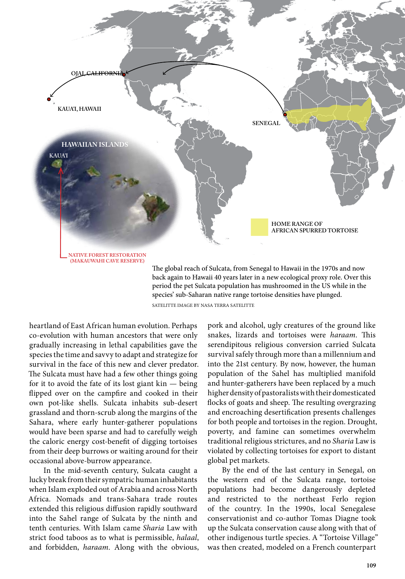

species' sub-Saharan native range tortoise densities have plunged.

SATELITTE IMAGE BY NASA TERRA SATELITTE

heartland of East African human evolution. Perhaps co-evolution with human ancestors that were only gradually increasing in lethal capabilities gave the species the time and savvy to adapt and strategize for survival in the face of this new and clever predator. The Sulcata must have had a few other things going for it to avoid the fate of its lost giant kin — being flipped over on the campfire and cooked in their own pot-like shells. Sulcata inhabits sub-desert grassland and thorn-scrub along the margins of the Sahara, where early hunter-gatherer populations would have been sparse and had to carefully weigh the caloric energy cost-benefit of digging tortoises from their deep burrows or waiting around for their occasional above-burrow appearance.

In the mid-seventh century, Sulcata caught a lucky break from their sympatric human inhabitants when Islam exploded out of Arabia and across North Africa. Nomads and trans-Sahara trade routes extended this religious diffusion rapidly southward into the Sahel range of Sulcata by the ninth and tenth centuries. With Islam came *Sharia* Law with strict food taboos as to what is permissible, *halaal*, and forbidden, *haraam*. Along with the obvious, pork and alcohol, ugly creatures of the ground like snakes, lizards and tortoises were *haraam*. This serendipitous religious conversion carried Sulcata survival safely through more than a millennium and into the 21st century. By now, however, the human population of the Sahel has multiplied manifold and hunter-gatherers have been replaced by a much higher density of pastoralists with their domesticated flocks of goats and sheep. The resulting overgrazing and encroaching desertification presents challenges for both people and tortoises in the region. Drought, poverty, and famine can sometimes overwhelm traditional religious strictures, and no *Sharia* Law is violated by collecting tortoises for export to distant global pet markets.

By the end of the last century in Senegal, on the western end of the Sulcata range, tortoise populations had become dangerously depleted and restricted to the northeast Ferlo region of the country. In the 1990s, local Senegalese conservationist and co-author Tomas Diagne took up the Sulcata conservation cause along with that of other indigenous turtle species. A "Tortoise Village" was then created, modeled on a French counterpart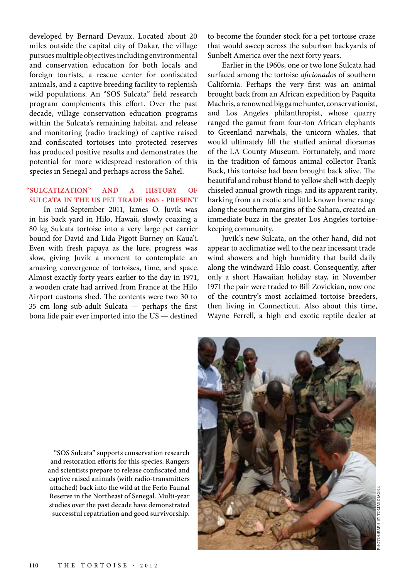developed by Bernard Devaux. Located about 20 miles outside the capital city of Dakar, the village pursues multiple objectives including environmental and conservation education for both locals and foreign tourists, a rescue center for confiscated animals, and a captive breeding facility to replenish wild populations. An "SOS Sulcata" field research program complements this effort. Over the past decade, village conservation education programs within the Sulcata's remaining habitat, and release and monitoring (radio tracking) of captive raised and confiscated tortoises into protected reserves has produced positive results and demonstrates the potential for more widespread restoration of this species in Senegal and perhaps across the Sahel.

## **"SULCATIZATION" AND A HISTORY OF SULCATA IN THE US PET TRADE 1965 - PRESENT**

In mid-September 2011, James O. Juvik was in his back yard in Hilo, Hawaii, slowly coaxing a 80 kg Sulcata tortoise into a very large pet carrier bound for David and Lida Pigott Burney on Kaua'i. Even with fresh papaya as the lure, progress was slow, giving Juvik a moment to contemplate an amazing convergence of tortoises, time, and space. Almost exactly forty years earlier to the day in 1971, a wooden crate had arrived from France at the Hilo Airport customs shed. The contents were two 30 to 35 cm long sub-adult Sulcata — perhaps the first bona fide pair ever imported into the US — destined

to become the founder stock for a pet tortoise craze that would sweep across the suburban backyards of Sunbelt America over the next forty years.

Earlier in the 1960s, one or two lone Sulcata had surfaced among the tortoise *aficionados* of southern California. Perhaps the very first was an animal brought back from an African expedition by Paquita Machris, a renowned big game hunter, conservationist, and Los Angeles philanthropist, whose quarry ranged the gamut from four-ton African elephants to Greenland narwhals, the unicorn whales, that would ultimately fill the stuffed animal dioramas of the LA County Museum. Fortunately, and more in the tradition of famous animal collector Frank Buck, this tortoise had been brought back alive. The beautiful and robust blond to yellow shell with deeply chiseled annual growth rings, and its apparent rarity, harking from an exotic and little known home range along the southern margins of the Sahara, created an immediate buzz in the greater Los Angeles tortoisekeeping community.

Juvik's new Sulcata, on the other hand, did not appear to acclimatize well to the near incessant trade wind showers and high humidity that build daily along the windward Hilo coast. Consequently, after only a short Hawaiian holiday stay, in November 1971 the pair were traded to Bill Zovickian, now one of the country's most acclaimed tortoise breeders, then living in Connecticut. Also about this time, Wayne Ferrell, a high end exotic reptile dealer at

"SOS Sulcata" supports conservation research and restoration efforts for this species. Rangers and scientists prepare to release confiscated and captive raised animals (with radio-transmitters attached) back into the wild at the Ferlo Faunal Reserve in the Northeast of Senegal. Multi-year studies over the past decade have demonstrated successful repatriation and good survivorship.

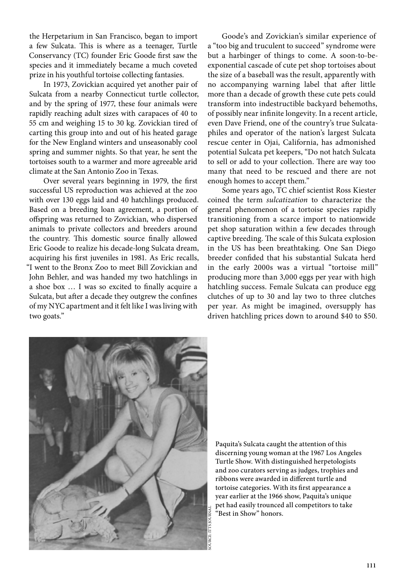the Herpetarium in San Francisco, began to import a few Sulcata. This is where as a teenager, Turtle Conservancy (TC) founder Eric Goode first saw the species and it immediately became a much coveted prize in his youthful tortoise collecting fantasies.

In 1973, Zovickian acquired yet another pair of Sulcata from a nearby Connecticut turtle collector, and by the spring of 1977, these four animals were rapidly reaching adult sizes with carapaces of 40 to 55 cm and weighing 15 to 30 kg. Zovickian tired of carting this group into and out of his heated garage for the New England winters and unseasonably cool spring and summer nights. So that year, he sent the tortoises south to a warmer and more agreeable arid climate at the San Antonio Zoo in Texas.

Over several years beginning in 1979, the first successful US reproduction was achieved at the zoo with over 130 eggs laid and 40 hatchlings produced. Based on a breeding loan agreement, a portion of offspring was returned to Zovickian, who dispersed animals to private collectors and breeders around the country. This domestic source finally allowed Eric Goode to realize his decade-long Sulcata dream, acquiring his first juveniles in 1981. As Eric recalls, "I went to the Bronx Zoo to meet Bill Zovickian and John Behler, and was handed my two hatchlings in a shoe box … I was so excited to finally acquire a Sulcata, but after a decade they outgrew the confines of my NYC apartment and it felt like I was living with two goats."

Goode's and Zovickian's similar experience of a "too big and truculent to succeed" syndrome were but a harbinger of things to come. A soon-to-beexponential cascade of cute pet shop tortoises about the size of a baseball was the result, apparently with no accompanying warning label that after little more than a decade of growth these cute pets could transform into indestructible backyard behemoths, of possibly near infinite longevity. In a recent article, even Dave Friend, one of the country's true Sulcataphiles and operator of the nation's largest Sulcata rescue center in Ojai, California, has admonished potential Sulcata pet keepers, "Do not hatch Sulcata to sell or add to your collection. There are way too many that need to be rescued and there are not enough homes to accept them."

Some years ago, TC chief scientist Ross Kiester coined the term *sulcatization* to characterize the general phenomenon of a tortoise species rapidly transitioning from a scarce import to nationwide pet shop saturation within a few decades through captive breeding. The scale of this Sulcata explosion in the US has been breathtaking. One San Diego breeder confided that his substantial Sulcata herd in the early 2000s was a virtual "tortoise mill" producing more than 3,000 eggs per year with high hatchling success. Female Sulcata can produce egg clutches of up to 30 and lay two to three clutches per year. As might be imagined, oversupply has driven hatchling prices down to around \$40 to \$50.



Paquita's Sulcata caught the attention of this discerning young woman at the 1967 Los Angeles Turtle Show. With distinguished herpetologists and zoo curators serving as judges, trophies and ribbons were awarded in different turtle and tortoise categories. With its first appearance a year earlier at the 1966 show, Paquita's unique pet had easily trounced all competitors to take "Best in Show" honors.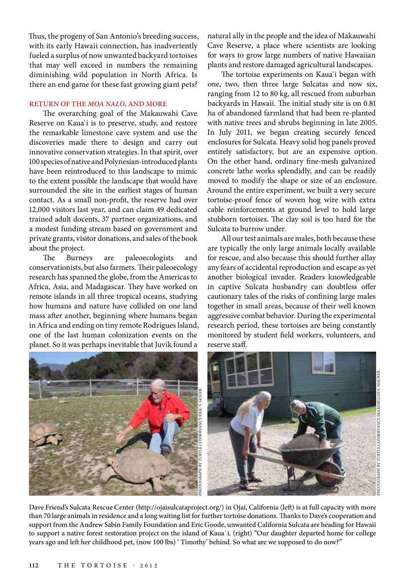Thus, the progeny of San Antonio's breeding success, with its early Hawaii connection, has inadvertently fueled a surplus of now unwanted backyard tortoises that may well exceed in numbers the remaining diminishing wild population in North Africa. Is there an end game for these fast growing giant pets?

#### **RETURN OF THE** *MOA NALO***, AND MORE**

The overarching goal of the Makauwahi Cave Reserve on Kaua`i is to preserve, study, and restore the remarkable limestone cave system and use the discoveries made there to design and carry out innovative conservation strategies. In that spirit, over 100 species of native and Polynesian-introduced plants have been reintroduced to this landscape to mimic to the extent possible the landscape that would have surrounded the site in the earliest stages of human contact. As a small non-profit, the reserve had over 12,000 visitors last year, and can claim 49 dedicated trained adult docents, 37 partner organizations, and a modest funding stream based on government and private grants, visitor donations, and sales of the book about the project.

The Burneys are paleoecologists and conservationists, but also farmers. Their paleoecology research has spanned the globe, from the Americas to Africa, Asia, and Madagascar. They have worked on remote islands in all three tropical oceans, studying how humans and nature have collided on one land mass after another, beginning where humans began in Africa and ending on tiny remote Rodrigues Island, one of the last human colonization events on the planet. So it was perhaps inevitable that Juvik found a

natural ally in the people and the idea of Makauwahi Cave Reserve, a place where scientists are looking for ways to grow large numbers of native Hawaiian plants and restore damaged agricultural landscapes.

The tortoise experiments on Kaua`i began with one, two, then three large Sulcatas and now six, ranging from 12 to 80 kg, all rescued from suburban backyards in Hawaii. The initial study site is on 0.81 ha of abandoned farmland that had been re-planted with native trees and shrubs beginning in late 2005. In July 2011, we began creating securely fenced enclosures for Sulcata. Heavy solid hog panels proved entirely satisfactory, but are an expensive option. On the other hand, ordinary fine-mesh galvanized concrete lathe works splendidly, and can be readily moved to modify the shape or size of an enclosure. Around the entire experiment, we built a very secure tortoise-proof fence of woven hog wire with extra cable reinforcements at ground level to hold large stubborn tortoises. The clay soil is too hard for the Sulcata to burrow under.

All our test animals are males, both because these are typically the only large animals locally available for rescue, and also because this should further allay any fears of accidental reproduction and escape as yet another biological invader. Readers knowledgeable in captive Sulcata husbandry can doubtless offer cautionary tales of the risks of confining large males together in small areas, because of their well known aggressive combat behavior. During the experimental research period, these tortoises are being constantly monitored by student field workers, volunteers, and reserve staff.

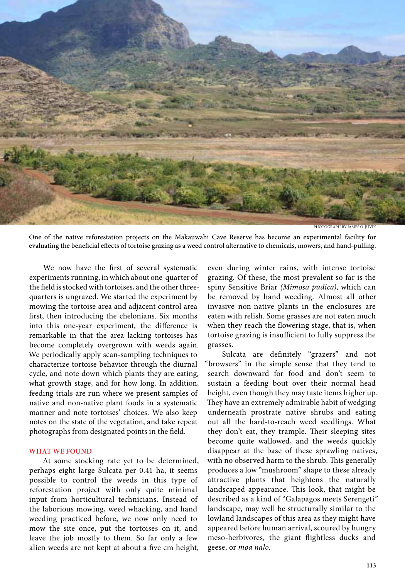

PHOTOGRAPH BY JAMES O. JUVIK

One of the native reforestation projects on the Makauwahi Cave Reserve has become an experimental facility for evaluating the beneficial effects of tortoise grazing as a weed control alternative to chemicals, mowers, and hand-pulling.

We now have the first of several systematic experiments running, in which about one-quarter of the field is stocked with tortoises, and the other threequarters is ungrazed. We started the experiment by mowing the tortoise area and adjacent control area first, then introducing the chelonians. Six months into this one-year experiment, the difference is remarkable in that the area lacking tortoises has become completely overgrown with weeds again. We periodically apply scan-sampling techniques to characterize tortoise behavior through the diurnal cycle, and note down which plants they are eating, what growth stage, and for how long. In addition, feeding trials are run where we present samples of native and non-native plant foods in a systematic manner and note tortoises' choices. We also keep notes on the state of the vegetation, and take repeat photographs from designated points in the field.

#### **WHAT WE FOUND**

At some stocking rate yet to be determined, perhaps eight large Sulcata per 0.41 ha, it seems possible to control the weeds in this type of reforestation project with only quite minimal input from horticultural technicians. Instead of the laborious mowing, weed whacking, and hand weeding practiced before, we now only need to mow the site once, put the tortoises on it, and leave the job mostly to them. So far only a few alien weeds are not kept at about a five cm height, even during winter rains, with intense tortoise grazing. Of these, the most prevalent so far is the spiny Sensitive Briar *(Mimosa pudica)*, which can be removed by hand weeding. Almost all other invasive non-native plants in the enclosures are eaten with relish. Some grasses are not eaten much when they reach the flowering stage, that is, when tortoise grazing is insufficient to fully suppress the grasses.

Sulcata are definitely "grazers" and not "browsers" in the simple sense that they tend to search downward for food and don't seem to sustain a feeding bout over their normal head height, even though they may taste items higher up. They have an extremely admirable habit of wedging underneath prostrate native shrubs and eating out all the hard-to-reach weed seedlings. What they don't eat, they trample. Their sleeping sites become quite wallowed, and the weeds quickly disappear at the base of these sprawling natives, with no observed harm to the shrub. This generally produces a low "mushroom" shape to these already attractive plants that heightens the naturally landscaped appearance. This look, that might be described as a kind of "Galapagos meets Serengeti" landscape, may well be structurally similar to the lowland landscapes of this area as they might have appeared before human arrival, scoured by hungry meso-herbivores, the giant flightless ducks and geese, or *moa nalo*.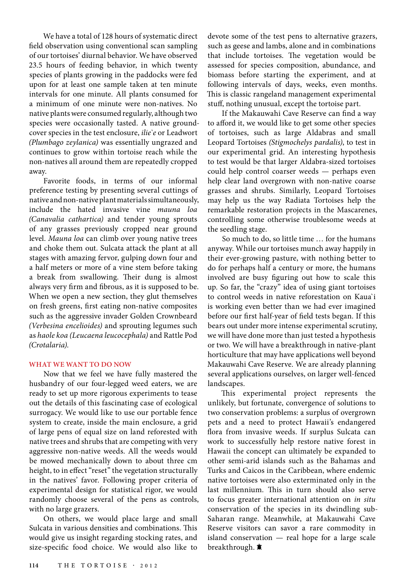We have a total of 128 hours of systematic direct field observation using conventional scan sampling of our tortoises' diurnal behavior. We have observed 23.5 hours of feeding behavior, in which twenty species of plants growing in the paddocks were fed upon for at least one sample taken at ten minute intervals for one minute. All plants consumed for a minimum of one minute were non-natives. No native plants were consumed regularly, although two species were occasionally tasted. A native groundcover species in the test enclosure, *ilie`e* or Leadwort *(Plumbago zeylanica)* was essentially ungrazed and continues to grow within tortoise reach while the non-natives all around them are repeatedly cropped away.

Favorite foods, in terms of our informal preference testing by presenting several cuttings of native and non-native plant materials simultaneously, include the hated invasive vine *mauna loa (Canavalia cathartica)* and tender young sprouts of any grasses previously cropped near ground level. *Mauna loa* can climb over young native trees and choke them out. Sulcata attack the plant at all stages with amazing fervor, gulping down four and a half meters or more of a vine stem before taking a break from swallowing. Their dung is almost always very firm and fibrous, as it is supposed to be. When we open a new section, they glut themselves on fresh greens, first eating non-native composites such as the aggressive invader Golden Crownbeard *(Verbesina encelioides)* and sprouting legumes such as *haole koa (Leucaena leucocephala)* and Rattle Pod *(Crotalaria)*.

## **WHAT WE WANT TO DO NOW**

Now that we feel we have fully mastered the husbandry of our four-legged weed eaters, we are ready to set up more rigorous experiments to tease out the details of this fascinating case of ecological surrogacy. We would like to use our portable fence system to create, inside the main enclosure, a grid of large pens of equal size on land reforested with native trees and shrubs that are competing with very aggressive non-native weeds. All the weeds would be mowed mechanically down to about three cm height, to in effect "reset" the vegetation structurally in the natives' favor. Following proper criteria of experimental design for statistical rigor, we would randomly choose several of the pens as controls, with no large grazers.

On others, we would place large and small Sulcata in various densities and combinations. This would give us insight regarding stocking rates, and size-specific food choice. We would also like to devote some of the test pens to alternative grazers, such as geese and lambs, alone and in combinations that include tortoises. The vegetation would be assessed for species composition, abundance, and biomass before starting the experiment, and at following intervals of days, weeks, even months. This is classic rangeland management experimental stuff, nothing unusual, except the tortoise part.

If the Makauwahi Cave Reserve can find a way to afford it, we would like to get some other species of tortoises, such as large Aldabras and small Leopard Tortoises *(Stigmochelys pardalis)*, to test in our experimental grid. An interesting hypothesis to test would be that larger Aldabra-sized tortoises could help control coarser weeds — perhaps even help clear land overgrown with non-native coarse grasses and shrubs. Similarly, Leopard Tortoises may help us the way Radiata Tortoises help the remarkable restoration projects in the Mascarenes, controlling some otherwise troublesome weeds at the seedling stage.

So much to do, so little time … for the humans anyway. While our tortoises munch away happily in their ever-growing pasture, with nothing better to do for perhaps half a century or more, the humans involved are busy figuring out how to scale this up. So far, the "crazy" idea of using giant tortoises to control weeds in native reforestation on Kaua`i is working even better than we had ever imagined before our first half-year of field tests began. If this bears out under more intense experimental scrutiny, we will have done more than just tested a hypothesis or two. We will have a breakthrough in native-plant horticulture that may have applications well beyond Makauwahi Cave Reserve. We are already planning several applications ourselves, on larger well-fenced landscapes.

This experimental project represents the unlikely, but fortunate, convergence of solutions to two conservation problems: a surplus of overgrown pets and a need to protect Hawaii's endangered flora from invasive weeds. If surplus Sulcata can work to successfully help restore native forest in Hawaii the concept can ultimately be expanded to other semi-arid islands such as the Bahamas and Turks and Caicos in the Caribbean, where endemic native tortoises were also exterminated only in the last millennium. This in turn should also serve to focus greater international attention on *in situ* conservation of the species in its dwindling sub-Saharan range. Meanwhile, at Makauwahi Cave Reserve visitors can savor a rare commodity in island conservation — real hope for a large scale breakthrough.